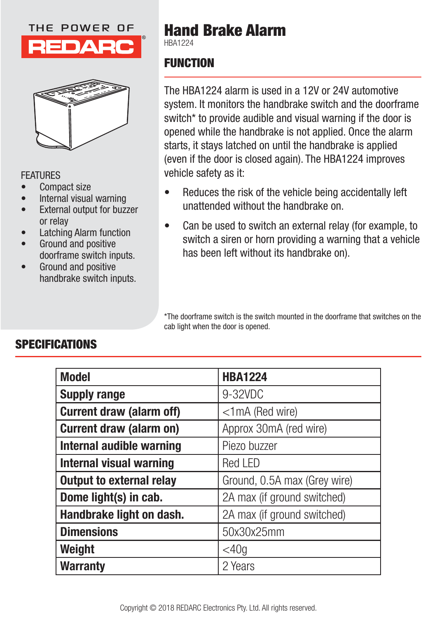### THE POWER OF





### **FFATURES**

- Compact size
- Internal visual warning
- External output for buzzer or relay
- Latching Alarm function
- Ground and positive doorframe switch inputs.
- Ground and positive handbrake switch inputs.

# **Hand Brake Alarm**

HBA1224

# **FUNCTION**

The HBA1224 alarm is used in a 12V or 24V automotive system. It monitors the handbrake switch and the doorframe switch<sup>\*</sup> to provide audible and visual warning if the door is opened while the handbrake is not applied. Once the alarm starts, it stays latched on until the handbrake is applied (even if the door is closed again). The HBA1224 improves vehicle safety as it:

- Reduces the risk of the vehicle being accidentally left unattended without the handbrake on.
- Can be used to switch an external relay (for example, to switch a siren or horn providing a warning that a vehicle has been left without its handbrake on).

\*The doorframe switch is the switch mounted in the doorframe that switches on the cab light when the door is opened.

| <b>Model</b>                    | <b>HBA1224</b>               |
|---------------------------------|------------------------------|
| <b>Supply range</b>             | 9-32VDC                      |
| <b>Current draw (alarm off)</b> | $<$ 1 mA (Red wire)          |
| <b>Current draw (alarm on)</b>  | Approx 30mA (red wire)       |
| Internal audible warning        | Piezo buzzer                 |
| <b>Internal visual warning</b>  | <b>Red LED</b>               |
| <b>Output to external relay</b> | Ground, 0.5A max (Grey wire) |
| Dome light(s) in cab.           | 2A max (if ground switched)  |
| Handbrake light on dash.        | 2A max (if ground switched)  |
| <b>Dimensions</b>               | 50x30x25mm                   |
| Weight                          | $<$ 40g                      |
| <b>Warranty</b>                 | 2 Years                      |

# **SPECIFICATIONS**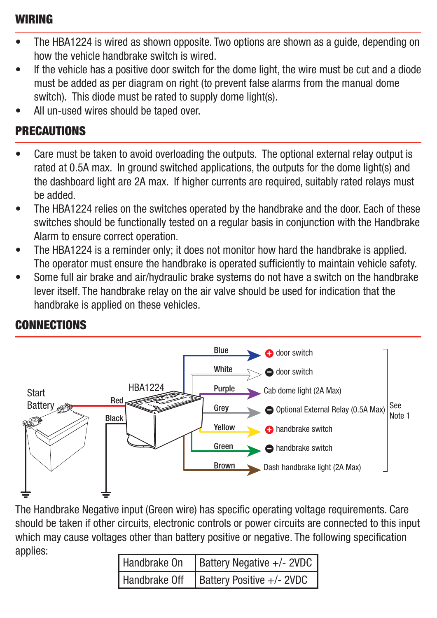### **WIRING**

- The HBA1224 is wired as shown opposite. Two options are shown as a guide, depending on how the vehicle handbrake switch is wired.
- If the vehicle has a positive door switch for the dome light, the wire must be cut and a diode must be added as per diagram on right (to prevent false alarms from the manual dome switch). This diode must be rated to supply dome light(s).
- All un-used wires should be taped over.

## **PRECAUTIONS**

- Care must be taken to avoid overloading the outputs. The optional external relay output is rated at 0.5A max. In ground switched applications, the outputs for the dome light(s) and the dashboard light are 2A max. If higher currents are required, suitably rated relays must be added.
- The HBA1224 relies on the switches operated by the handbrake and the door. Each of these switches should be functionally tested on a regular basis in conjunction with the Handbrake Alarm to ensure correct operation.
- The HBA1224 is a reminder only; it does not monitor how hard the handbrake is applied. The operator must ensure the handbrake is operated sufficiently to maintain vehicle safety.
- Some full air brake and air/hydraulic brake systems do not have a switch on the handbrake lever itself. The handbrake relay on the air valve should be used for indication that the handbrake is applied on these vehicles.



# **CONNECTIONS**

The Handbrake Negative input (Green wire) has specific operating voltage requirements. Care should be taken if other circuits, electronic controls or power circuits are connected to this input which may cause voltages other than battery positive or negative. The following specification applies:

| Handbrake On | Battery Negative +/- 2VDC                       |
|--------------|-------------------------------------------------|
|              | Handbrake Off $\vert$ Battery Positive +/- 2VDC |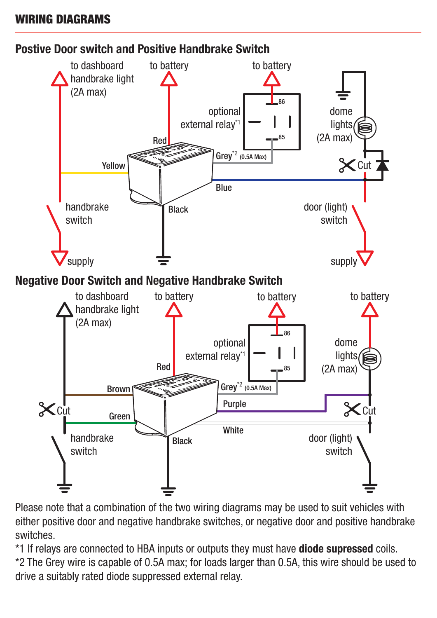### **WIRING DIAGRAMS**



Please note that a combination of the two wiring diagrams may be used to suit vehicles with either positive door and negative handbrake switches, or negative door and positive handbrake switches.

\*1 If relays are connected to HBA inputs or outputs they must have **diode supressed** coils. \*2 The Grey wire is capable of 0.5A max; for loads larger than 0.5A, this wire should be used to drive a suitably rated diode suppressed external relay.